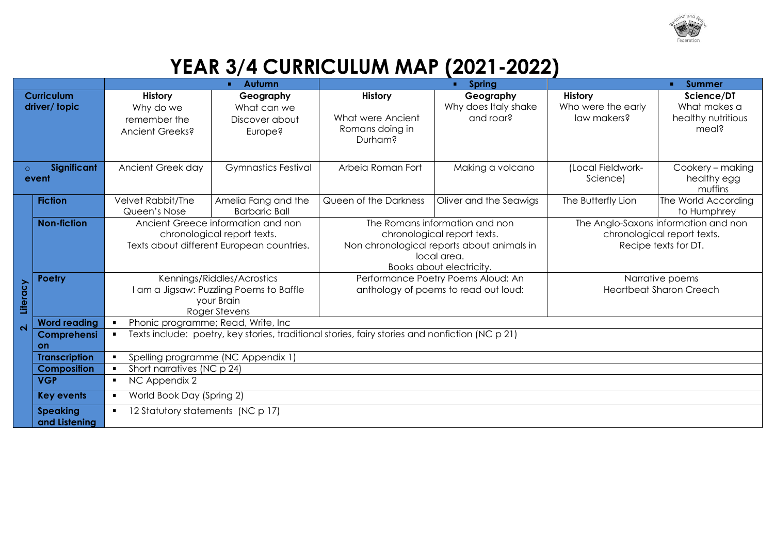

## **YEAR 3/4 CURRICULUM MAP (2021-2022)**

|                                 |                      | Autumn<br>٠                                                                                                                                              |                            | <b>Spring</b>                                                              |                        | <b>Summer</b>                                       |                     |
|---------------------------------|----------------------|----------------------------------------------------------------------------------------------------------------------------------------------------------|----------------------------|----------------------------------------------------------------------------|------------------------|-----------------------------------------------------|---------------------|
|                                 | <b>Curriculum</b>    | <b>History</b>                                                                                                                                           | Geography                  | <b>History</b>                                                             | Geography              | <b>History</b>                                      | Science/DT          |
|                                 | driver/topic         | Why do we                                                                                                                                                | What can we                |                                                                            | Why does Italy shake   | Who were the early                                  | What makes a        |
|                                 |                      | remember the                                                                                                                                             | Discover about             | What were Ancient                                                          | and roar?              | law makers?                                         | healthy nutritious  |
|                                 |                      | Ancient Greeks?                                                                                                                                          | Europe?                    | Romans doing in<br>Durham?                                                 |                        |                                                     | meal?               |
|                                 |                      |                                                                                                                                                          |                            |                                                                            |                        |                                                     |                     |
| Significant<br>$\circ$<br>event |                      | Ancient Greek day                                                                                                                                        | <b>Gymnastics Festival</b> | Arbeia Roman Fort                                                          | Making a volcano       | (Local Fieldwork-                                   | Cookery - making    |
|                                 |                      |                                                                                                                                                          |                            |                                                                            |                        | Science)                                            | healthy egg         |
|                                 |                      |                                                                                                                                                          |                            |                                                                            |                        |                                                     | muffins             |
|                                 | <b>Fiction</b>       | Velvet Rabbit/The                                                                                                                                        | Amelia Fang and the        | Queen of the Darkness                                                      | Oliver and the Seawigs | The Butterfly Lion                                  | The World According |
|                                 |                      | Queen's Nose                                                                                                                                             | <b>Barbaric Ball</b>       |                                                                            |                        |                                                     | to Humphrey         |
|                                 | <b>Non-fiction</b>   | Ancient Greece information and non                                                                                                                       |                            | The Romans information and non                                             |                        | The Anglo-Saxons information and non                |                     |
|                                 |                      | chronological report texts.<br>Texts about different European countries.                                                                                 |                            | chronological report texts.<br>Non chronological reports about animals in  |                        | chronological report texts.<br>Recipe texts for DT. |                     |
|                                 |                      |                                                                                                                                                          |                            | local area.                                                                |                        |                                                     |                     |
|                                 |                      |                                                                                                                                                          |                            | Books about electricity.                                                   |                        |                                                     |                     |
|                                 | <b>Poetry</b>        | Kennings/Riddles/Acrostics<br>I am a Jigsaw: Puzzling Poems to Baffle<br>your Brain<br>Roger Stevens                                                     |                            | Performance Poetry Poems Aloud: An<br>anthology of poems to read out loud: |                        | Narrative poems<br><b>Heartbeat Sharon Creech</b>   |                     |
|                                 |                      |                                                                                                                                                          |                            |                                                                            |                        |                                                     |                     |
| Literacy                        |                      |                                                                                                                                                          |                            |                                                                            |                        |                                                     |                     |
|                                 | <b>Word reading</b>  | $\blacksquare$                                                                                                                                           |                            |                                                                            |                        |                                                     |                     |
| $\overline{\mathbf{N}}$         | Comprehensi          | Phonic programme; Read, Write, Inc.<br>Texts include: poetry, key stories, traditional stories, fairy stories and nonfiction (NC p 21)<br>$\blacksquare$ |                            |                                                                            |                        |                                                     |                     |
|                                 | on                   |                                                                                                                                                          |                            |                                                                            |                        |                                                     |                     |
|                                 | <b>Transcription</b> | Spelling programme (NC Appendix 1)<br>$\blacksquare$                                                                                                     |                            |                                                                            |                        |                                                     |                     |
|                                 | <b>Composition</b>   | Short narratives (NC p 24)<br>$\blacksquare$                                                                                                             |                            |                                                                            |                        |                                                     |                     |
|                                 | <b>VGP</b>           | NC Appendix 2<br>$\blacksquare$                                                                                                                          |                            |                                                                            |                        |                                                     |                     |
|                                 | <b>Key events</b>    | World Book Day (Spring 2)<br>$\blacksquare$                                                                                                              |                            |                                                                            |                        |                                                     |                     |
|                                 | <b>Speaking</b>      | 12 Statutory statements (NC p 17)<br>$\blacksquare$                                                                                                      |                            |                                                                            |                        |                                                     |                     |
|                                 | and Listening        |                                                                                                                                                          |                            |                                                                            |                        |                                                     |                     |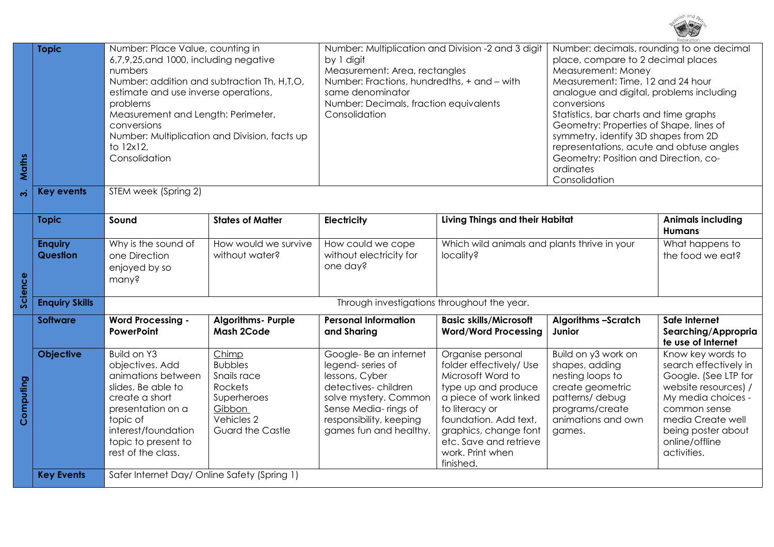

| Maths     | <b>Topic</b>               | Number: Place Value, counting in<br>6,7,9,25, and 1000, including negative<br>numbers<br>Number: addition and subtraction Th, H,T,O,<br>estimate and use inverse operations,<br>problems<br>Measurement and Length: Perimeter,<br>conversions<br>Number: Multiplication and Division, facts up<br>to 12x12,<br>Consolidation |                                                                                                                     | Number: Multiplication and Division -2 and 3 digit<br>by 1 digit<br>Measurement: Area, rectangles<br>Number: Fractions, hundredths, + and - with<br>same denominator<br>Number: Decimals, fraction equivalents<br>Consolidation |                                                                                                                                                                                                                                                   | Number: decimals, rounding to one decimal<br>place, compare to 2 decimal places<br>Measurement: Money<br>Measurement: Time, 12 and 24 hour<br>analogue and digital, problems including<br>conversions<br>Statistics, bar charts and time graphs<br>Geometry: Properties of Shape, lines of<br>symmetry, identify 3D shapes from 2D<br>representations, acute and obtuse angles<br>Geometry: Position and Direction, co-<br>ordinates<br>Consolidation |                                                                                                                                                                                                              |  |
|-----------|----------------------------|------------------------------------------------------------------------------------------------------------------------------------------------------------------------------------------------------------------------------------------------------------------------------------------------------------------------------|---------------------------------------------------------------------------------------------------------------------|---------------------------------------------------------------------------------------------------------------------------------------------------------------------------------------------------------------------------------|---------------------------------------------------------------------------------------------------------------------------------------------------------------------------------------------------------------------------------------------------|-------------------------------------------------------------------------------------------------------------------------------------------------------------------------------------------------------------------------------------------------------------------------------------------------------------------------------------------------------------------------------------------------------------------------------------------------------|--------------------------------------------------------------------------------------------------------------------------------------------------------------------------------------------------------------|--|
| ကဲ        | <b>Key events</b>          | STEM week (Spring 2)                                                                                                                                                                                                                                                                                                         |                                                                                                                     |                                                                                                                                                                                                                                 |                                                                                                                                                                                                                                                   |                                                                                                                                                                                                                                                                                                                                                                                                                                                       |                                                                                                                                                                                                              |  |
| Science   | <b>Topic</b>               | Sound                                                                                                                                                                                                                                                                                                                        | <b>States of Matter</b>                                                                                             | <b>Electricity</b>                                                                                                                                                                                                              | <b>Living Things and their Habitat</b>                                                                                                                                                                                                            |                                                                                                                                                                                                                                                                                                                                                                                                                                                       | <b>Animals including</b><br><b>Humans</b>                                                                                                                                                                    |  |
|           | <b>Enquiry</b><br>Question | Why is the sound of<br>one Direction<br>enjoyed by so<br>many?                                                                                                                                                                                                                                                               | How would we survive<br>without water?                                                                              | How could we cope<br>without electricity for<br>one day?                                                                                                                                                                        | Which wild animals and plants thrive in your<br>locality?                                                                                                                                                                                         |                                                                                                                                                                                                                                                                                                                                                                                                                                                       | What happens to<br>the food we eat?                                                                                                                                                                          |  |
|           | <b>Enquiry Skills</b>      | Through investigations throughout the year.                                                                                                                                                                                                                                                                                  |                                                                                                                     |                                                                                                                                                                                                                                 |                                                                                                                                                                                                                                                   |                                                                                                                                                                                                                                                                                                                                                                                                                                                       |                                                                                                                                                                                                              |  |
| Computing | <b>Software</b>            | <b>Word Processing -</b><br><b>PowerPoint</b>                                                                                                                                                                                                                                                                                | <b>Algorithms- Purple</b><br><b>Mash 2Code</b>                                                                      | <b>Personal Information</b><br>and Sharing                                                                                                                                                                                      | <b>Basic skills/Microsoft</b><br><b>Word/Word Processing</b>                                                                                                                                                                                      | <b>Algorithms -Scratch</b><br>Junior                                                                                                                                                                                                                                                                                                                                                                                                                  | Safe Internet<br>Searching/Appropria<br>te use of Internet                                                                                                                                                   |  |
|           | <b>Objective</b>           | Build on Y3<br>objectives. Add<br>animations between<br>slides. Be able to<br>create a short<br>presentation on a<br>topic of<br>interest/foundation<br>topic to present to<br>rest of the class.                                                                                                                            | Chimp<br><b>Bubbles</b><br>Snails race<br>Rockets<br>Superheroes<br>Gibbon<br>Vehicles 2<br><b>Guard the Castle</b> | Google-Be an internet<br>legend-series of<br>lessons, Cyber<br>detectives-children<br>solve mystery. Common<br>Sense Media-rings of<br>responsibility, keeping<br>games fun and healthy.                                        | Organise personal<br>folder effectively/ Use<br>Microsoft Word to<br>type up and produce<br>a piece of work linked<br>to literacy or<br>foundation. Add text,<br>graphics, change font<br>etc. Save and retrieve<br>work. Print when<br>finished. | Build on y3 work on<br>shapes, adding<br>nesting loops to<br>create geometric<br>patterns/debug<br>programs/create<br>animations and own<br>games.                                                                                                                                                                                                                                                                                                    | Know key words to<br>search effectively in<br>Google. (See LTP for<br>website resources) /<br>My media choices -<br>common sense<br>media Create well<br>being poster about<br>online/offline<br>activities. |  |
|           | <b>Key Events</b>          | Safer Internet Day/ Online Safety (Spring 1)                                                                                                                                                                                                                                                                                 |                                                                                                                     |                                                                                                                                                                                                                                 |                                                                                                                                                                                                                                                   |                                                                                                                                                                                                                                                                                                                                                                                                                                                       |                                                                                                                                                                                                              |  |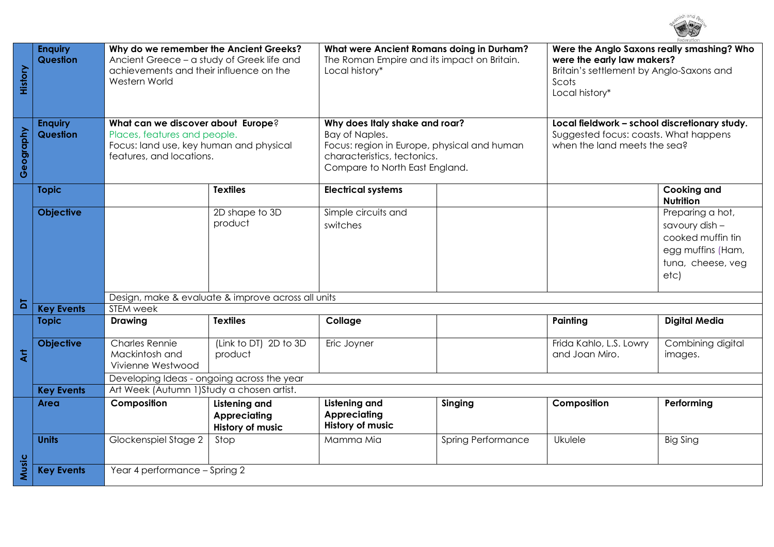

| History                   | <b>Enquiry</b><br><b>Question</b><br><b>Enquiry</b><br><b>Question</b> | Why do we remember the Ancient Greeks?<br>Ancient Greece - a study of Greek life and<br>achievements and their influence on the<br>Western World<br>What can we discover about Europe?<br>Places, features and people. |                                                                        | What were Ancient Romans doing in Durham?<br>The Roman Empire and its impact on Britain.<br>Local history*<br>Why does Italy shake and roar?<br>Bay of Naples. |                           | Were the Anglo Saxons really smashing? Who<br>were the early law makers?<br>Britain's settlement by Anglo-Saxons and<br>Scots<br>Local history*<br>Local fieldwork - school discretionary study.<br>Suggested focus: coasts. What happens |                                                                                                           |
|---------------------------|------------------------------------------------------------------------|------------------------------------------------------------------------------------------------------------------------------------------------------------------------------------------------------------------------|------------------------------------------------------------------------|----------------------------------------------------------------------------------------------------------------------------------------------------------------|---------------------------|-------------------------------------------------------------------------------------------------------------------------------------------------------------------------------------------------------------------------------------------|-----------------------------------------------------------------------------------------------------------|
| Geography                 |                                                                        | Focus: land use, key human and physical<br>features, and locations.                                                                                                                                                    |                                                                        | Focus: region in Europe, physical and human<br>characteristics, tectonics.<br>Compare to North East England.                                                   |                           | when the land meets the sea?                                                                                                                                                                                                              |                                                                                                           |
|                           | <b>Topic</b>                                                           |                                                                                                                                                                                                                        | <b>Textiles</b>                                                        | <b>Electrical systems</b>                                                                                                                                      |                           |                                                                                                                                                                                                                                           | <b>Cooking and</b><br><b>Nutrition</b>                                                                    |
|                           | <b>Objective</b>                                                       |                                                                                                                                                                                                                        | 2D shape to 3D<br>product                                              | Simple circuits and<br>switches                                                                                                                                |                           |                                                                                                                                                                                                                                           | Preparing a hot,<br>savoury dish -<br>cooked muffin tin<br>egg muffins (Ham,<br>tuna, cheese, veg<br>etc) |
| $\overline{a}$            |                                                                        | Design, make & evaluate & improve across all units<br>STEM week                                                                                                                                                        |                                                                        |                                                                                                                                                                |                           |                                                                                                                                                                                                                                           |                                                                                                           |
|                           | <b>Key Events</b><br><b>Topic</b>                                      | <b>Drawing</b>                                                                                                                                                                                                         | <b>Textiles</b>                                                        | Collage                                                                                                                                                        |                           | Painting                                                                                                                                                                                                                                  | <b>Digital Media</b>                                                                                      |
| $\ddot{\bar{\mathbf{x}}}$ | <b>Objective</b>                                                       | <b>Charles Rennie</b><br>Mackintosh and<br>Vivienne Westwood                                                                                                                                                           | (Link to DT) 2D to 3D<br>product                                       | Eric Joyner                                                                                                                                                    |                           | Frida Kahlo, L.S. Lowry<br>and Joan Miro.                                                                                                                                                                                                 | Combining digital<br>images.                                                                              |
|                           |                                                                        | Developing Ideas - ongoing across the year                                                                                                                                                                             |                                                                        |                                                                                                                                                                |                           |                                                                                                                                                                                                                                           |                                                                                                           |
|                           | <b>Key Events</b>                                                      | Art Week (Autumn 1) Study a chosen artist.                                                                                                                                                                             |                                                                        |                                                                                                                                                                |                           |                                                                                                                                                                                                                                           |                                                                                                           |
|                           | Area                                                                   | Composition                                                                                                                                                                                                            | <b>Listening and</b><br><b>Appreciating</b><br><b>History of music</b> | <b>Listening and</b><br><b>Appreciating</b><br><b>History of music</b>                                                                                         | Singing                   | Composition                                                                                                                                                                                                                               | Performing                                                                                                |
|                           | <b>Units</b>                                                           | Glockenspiel Stage 2                                                                                                                                                                                                   | Stop                                                                   | Mamma Mia                                                                                                                                                      | <b>Spring Performance</b> | Ukulele                                                                                                                                                                                                                                   | <b>Big Sing</b>                                                                                           |
| Music                     | <b>Key Events</b>                                                      | Year 4 performance - Spring 2                                                                                                                                                                                          |                                                                        |                                                                                                                                                                |                           |                                                                                                                                                                                                                                           |                                                                                                           |